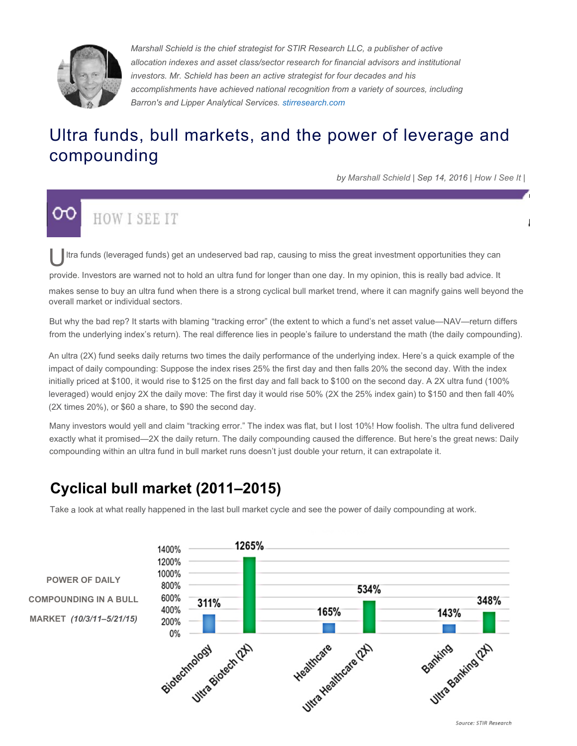

*Marshall Schield is the chief strategist for STIR Research LLC, a publisher of active allocation indexes and asset class/sector research for financial advisors and institutional investors. Mr. Schield has been an active strategist for four decades and his accomplishments have achieved national recognition from a variety of sources, including Barron's and Lipper Analytical Services. stirresearch.com*

## Ultra funds, bull markets, and the power of leverage and compounding

*by Marshall Schield | Sep 14, 2016 | How I See It |*

# **HOW I SEE IT**

Itra funds (leveraged funds) get an undeserved bad rap, causing to miss the great investment opportunities they can

provide. Investors are warned not to hold an ultra fund for longer than one day. In my opinion, this is really bad advice. It

makes sense to buy an ultra fund when there is a strong cyclical bull market trend, where it can magnify gains well beyond the overall market or individual sectors.

But why the bad rep? It starts with blaming "tracking error" (the extent to which a fund's net asset value—NAV—return differs from the underlying index's return). The real difference lies in people's failure to understand the math (the daily compounding).

An ultra (2X) fund seeks daily returns two times the daily performance of the underlying index. Here's a quick example of the impact of daily compounding: Suppose the index rises 25% the first day and then falls 20% the second day. With the index initially priced at \$100, it would rise to \$125 on the first day and fall back to \$100 on the second day. A 2X ultra fund (100% leveraged) would enjoy 2X the daily move: The first day it would rise 50% (2X the 25% index gain) to \$150 and then fall 40% (2X times 20%), or \$60 a share, to \$90 the second day.

Many investors would yell and claim "tracking error." The index was flat, but I lost 10%! How foolish. The ultra fund delivered exactly what it promised—2X the daily return. The daily compounding caused the difference. But here's the great news: Daily compounding within an ultra fund in bull market runs doesn't just double your return, it can extrapolate it.

### **Cyclical bull market (2011–2015)**

Take a look at what really happened in the last bull market cycle and see the power of daily compounding at work.